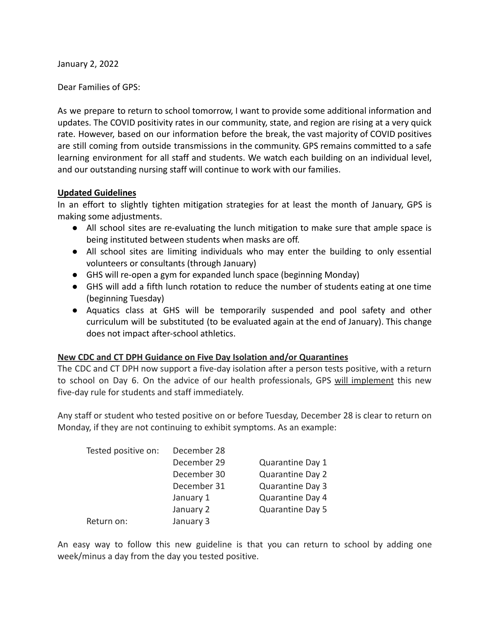January 2, 2022

Dear Families of GPS:

As we prepare to return to school tomorrow, I want to provide some additional information and updates. The COVID positivity rates in our community, state, and region are rising at a very quick rate. However, based on our information before the break, the vast majority of COVID positives are still coming from outside transmissions in the community. GPS remains committed to a safe learning environment for all staff and students. We watch each building on an individual level, and our outstanding nursing staff will continue to work with our families.

# **Updated Guidelines**

In an effort to slightly tighten mitigation strategies for at least the month of January, GPS is making some adjustments.

- All school sites are re-evaluating the lunch mitigation to make sure that ample space is being instituted between students when masks are off.
- All school sites are limiting individuals who may enter the building to only essential volunteers or consultants (through January)
- GHS will re-open a gym for expanded lunch space (beginning Monday)
- GHS will add a fifth lunch rotation to reduce the number of students eating at one time (beginning Tuesday)
- Aquatics class at GHS will be temporarily suspended and pool safety and other curriculum will be substituted (to be evaluated again at the end of January). This change does not impact after-school athletics.

# **New CDC and CT DPH Guidance on Five Day Isolation and/or Quarantines**

The CDC and CT DPH now support a five-day isolation after a person tests positive, with a return to school on Day 6. On the advice of our health professionals, GPS will implement this new five-day rule for students and staff immediately.

Any staff or student who tested positive on or before Tuesday, December 28 is clear to return on Monday, if they are not continuing to exhibit symptoms. As an example:

| Tested positive on: | December 28 |                         |
|---------------------|-------------|-------------------------|
|                     | December 29 | Quarantine Day 1        |
|                     | December 30 | <b>Quarantine Day 2</b> |
|                     | December 31 | Quarantine Day 3        |
|                     | January 1   | Quarantine Day 4        |
|                     | January 2   | Quarantine Day 5        |
| Return on:          | January 3   |                         |

An easy way to follow this new guideline is that you can return to school by adding one week/minus a day from the day you tested positive.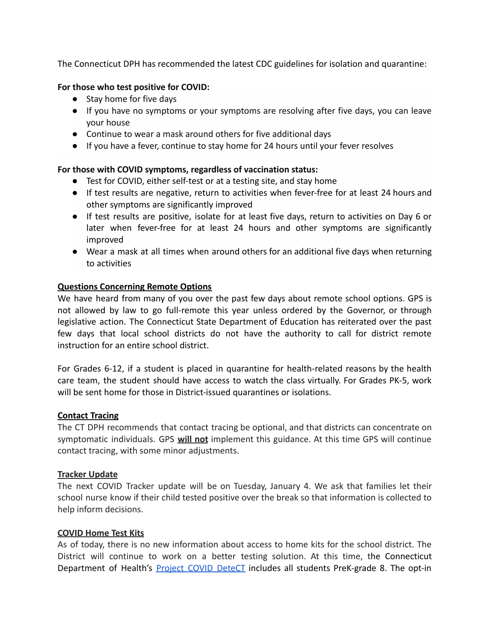The Connecticut DPH has recommended the latest CDC guidelines for isolation and quarantine:

### **For those who test positive for COVID:**

- Stay home for five days
- If you have no symptoms or your symptoms are resolving after five days, you can leave your house
- Continue to wear a mask around others for five additional days
- If you have a fever, continue to stay home for 24 hours until your fever resolves

# **For those with COVID symptoms, regardless of vaccination status:**

- Test for COVID, either self-test or at a testing site, and stay home
- If test results are negative, return to activities when fever-free for at least 24 hours and other symptoms are significantly improved
- If test results are positive, isolate for at least five days, return to activities on Day 6 or later when fever-free for at least 24 hours and other symptoms are significantly improved
- Wear a mask at all times when around others for an additional five days when returning to activities

### **Questions Concerning Remote Options**

We have heard from many of you over the past few days about remote school options. GPS is not allowed by law to go full-remote this year unless ordered by the Governor, or through legislative action. The Connecticut State Department of Education has reiterated over the past few days that local school districts do not have the authority to call for district remote instruction for an entire school district.

For Grades 6-12, if a student is placed in quarantine for health-related reasons by the health care team, the student should have access to watch the class virtually. For Grades PK-5, work will be sent home for those in District-issued quarantines or isolations.

### **Contact Tracing**

The CT DPH recommends that contact tracing be optional, and that districts can concentrate on symptomatic individuals. GPS **will not** implement this guidance. At this time GPS will continue contact tracing, with some minor adjustments.

### **Tracker Update**

The next COVID Tracker update will be on Tuesday, January 4. We ask that families let their school nurse know if their child tested positive over the break so that information is collected to help inform decisions.

### **COVID Home Test Kits**

As of today, there is no new information about access to home kits for the school district. The District will continue to work on a better testing solution. At this time, the Connecticut Department of Health's Project COVID [DeteCT](https://portal.ct.gov/Coronavirus/project-covid-detect) includes all students PreK-grade 8. The opt-in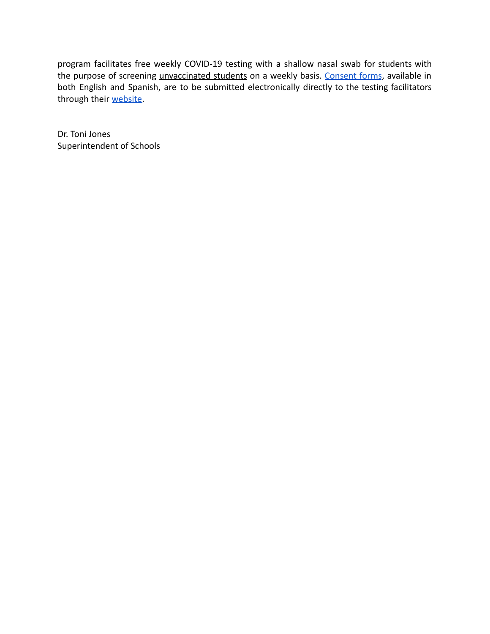program facilitates free weekly COVID-19 testing with a shallow nasal swab for students with the purpose of screening *unvaccinated students* on a weekly basis. [Consent](https://progressive-diagnostics.com/school-testing/consent-form/) forms, available in both English and Spanish, are to be submitted electronically directly to the testing facilitators through their [website.](https://progressive-diagnostics.com/school-testing/consent-form/)

Dr. Toni Jones Superintendent of Schools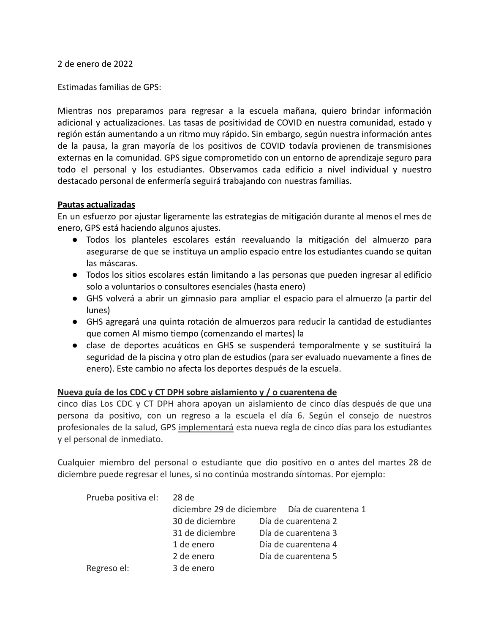2 de enero de 2022

Estimadas familias de GPS:

Mientras nos preparamos para regresar a la escuela mañana, quiero brindar información adicional y actualizaciones. Las tasas de positividad de COVID en nuestra comunidad, estado y región están aumentando a un ritmo muy rápido. Sin embargo, según nuestra información antes de la pausa, la gran mayoría de los positivos de COVID todavía provienen de transmisiones externas en la comunidad. GPS sigue comprometido con un entorno de aprendizaje seguro para todo el personal y los estudiantes. Observamos cada edificio a nivel individual y nuestro destacado personal de enfermería seguirá trabajando con nuestras familias.

#### **Pautas actualizadas**

En un esfuerzo por ajustar ligeramente las estrategias de mitigación durante al menos el mes de enero, GPS está haciendo algunos ajustes.

- Todos los planteles escolares están reevaluando la mitigación del almuerzo para asegurarse de que se instituya un amplio espacio entre los estudiantes cuando se quitan las máscaras.
- Todos los sitios escolares están limitando a las personas que pueden ingresar al edificio solo a voluntarios o consultores esenciales (hasta enero)
- GHS volverá a abrir un gimnasio para ampliar el espacio para el almuerzo (a partir del lunes)
- GHS agregará una quinta rotación de almuerzos para reducir la cantidad de estudiantes que comen Al mismo tiempo (comenzando el martes) la
- clase de deportes acuáticos en GHS se suspenderá temporalmente y se sustituirá la seguridad de la piscina y otro plan de estudios (para ser evaluado nuevamente a fines de enero). Este cambio no afecta los deportes después de la escuela.

### **Nueva guía de los CDC y CT DPH sobre aislamiento y / o cuarentena de**

cinco días Los CDC y CT DPH ahora apoyan un aislamiento de cinco días después de que una persona da positivo, con un regreso a la escuela el día 6. Según el consejo de nuestros profesionales de la salud, GPS implementará esta nueva regla de cinco días para los estudiantes y el personal de inmediato.

Cualquier miembro del personal o estudiante que dio positivo en o antes del martes 28 de diciembre puede regresar el lunes, si no continúa mostrando síntomas. Por ejemplo:

| Prueba positiva el: | 28 de           |                                               |
|---------------------|-----------------|-----------------------------------------------|
|                     |                 | diciembre 29 de diciembre Día de cuarentena 1 |
|                     | 30 de diciembre | Día de cuarentena 2                           |
|                     | 31 de diciembre | Día de cuarentena 3                           |
|                     | 1 de enero      | Día de cuarentena 4                           |
|                     | 2 de enero      | Día de cuarentena 5                           |
| Regreso el:         | 3 de enero      |                                               |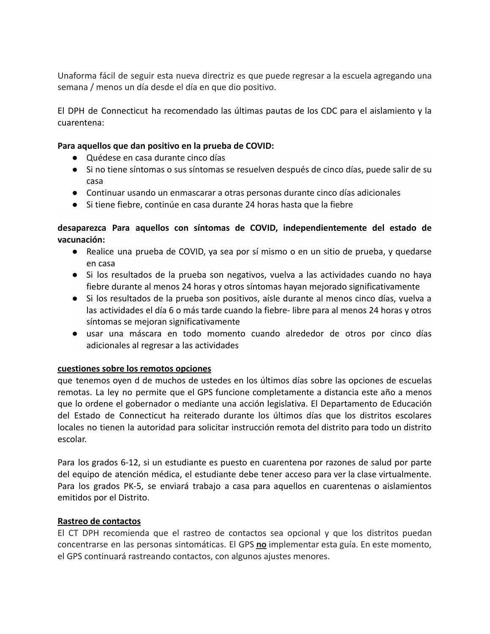Unaforma fácil de seguir esta nueva directriz es que puede regresar a la escuela agregando una semana / menos un día desde el día en que dio positivo.

El DPH de Connecticut ha recomendado las últimas pautas de los CDC para el aislamiento y la cuarentena:

### **Para aquellos que dan positivo en la prueba de COVID:**

- Quédese en casa durante cinco días
- Si no tiene síntomas o sus síntomas se resuelven después de cinco días, puede salir de su casa
- Continuar usando un enmascarar a otras personas durante cinco días adicionales
- Si tiene fiebre, continúe en casa durante 24 horas hasta que la fiebre

**desaparezca Para aquellos con síntomas de COVID, independientemente del estado de vacunación:**

- Realice una prueba de COVID, ya sea por sí mismo o en un sitio de prueba, y quedarse en casa
- Si los resultados de la prueba son negativos, vuelva a las actividades cuando no haya fiebre durante al menos 24 horas y otros síntomas hayan mejorado significativamente
- Si los resultados de la prueba son positivos, aísle durante al menos cinco días, vuelva a las actividades el día 6 o más tarde cuando la fiebre- libre para al menos 24 horas y otros síntomas se mejoran significativamente
- usar una máscara en todo momento cuando alrededor de otros por cinco días adicionales al regresar a las actividades

### **cuestiones sobre los remotos opciones**

que tenemos oyen d de muchos de ustedes en los últimos días sobre las opciones de escuelas remotas. La ley no permite que el GPS funcione completamente a distancia este año a menos que lo ordene el gobernador o mediante una acción legislativa. El Departamento de Educación del Estado de Connecticut ha reiterado durante los últimos días que los distritos escolares locales no tienen la autoridad para solicitar instrucción remota del distrito para todo un distrito escolar.

Para los grados 6-12, si un estudiante es puesto en cuarentena por razones de salud por parte del equipo de atención médica, el estudiante debe tener acceso para ver la clase virtualmente. Para los grados PK-5, se enviará trabajo a casa para aquellos en cuarentenas o aislamientos emitidos por el Distrito.

### **Rastreo de contactos**

El CT DPH recomienda que el rastreo de contactos sea opcional y que los distritos puedan concentrarse en las personas sintomáticas. El GPS **no** implementar esta guía. En este momento, el GPS continuará rastreando contactos, con algunos ajustes menores.